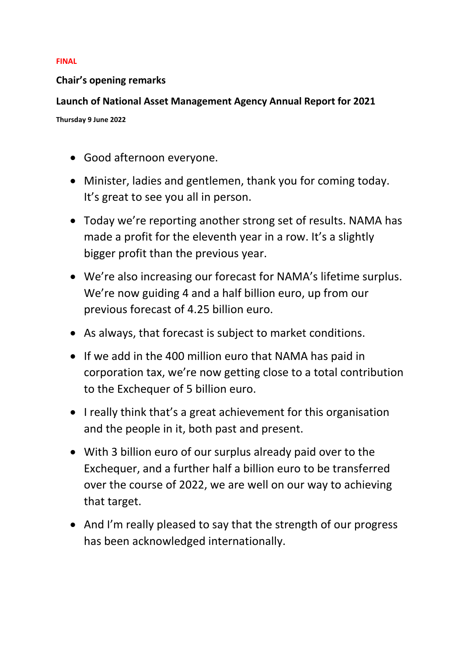## **FINAL**

## **Chair's opening remarks**

## **Launch of National Asset Management Agency Annual Report for 2021**

**Thursday 9 June 2022**

- Good afternoon everyone.
- Minister, ladies and gentlemen, thank you for coming today. It's great to see you all in person.
- Today we're reporting another strong set of results. NAMA has made a profit for the eleventh year in a row. It's a slightly bigger profit than the previous year.
- We're also increasing our forecast for NAMA's lifetime surplus. We're now guiding 4 and a half billion euro, up from our previous forecast of 4.25 billion euro.
- As always, that forecast is subject to market conditions.
- If we add in the 400 million euro that NAMA has paid in corporation tax, we're now getting close to a total contribution to the Exchequer of 5 billion euro.
- I really think that's a great achievement for this organisation and the people in it, both past and present.
- With 3 billion euro of our surplus already paid over to the Exchequer, and a further half a billion euro to be transferred over the course of 2022, we are well on our way to achieving that target.
- And I'm really pleased to say that the strength of our progress has been acknowledged internationally.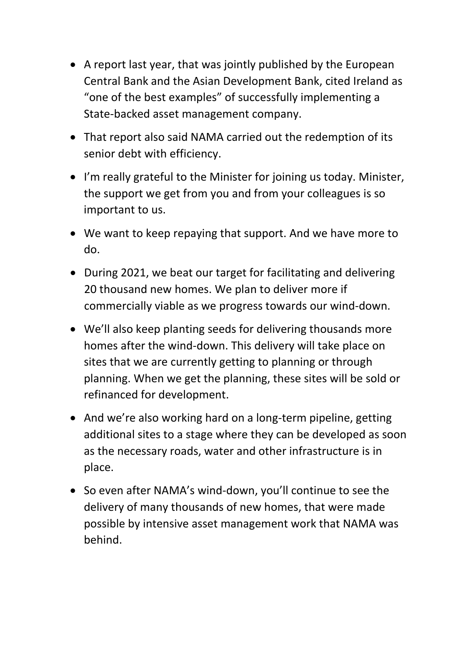- A report last year, that was jointly published by the European Central Bank and the Asian Development Bank, cited Ireland as "one of the best examples" of successfully implementing a State-backed asset management company.
- That report also said NAMA carried out the redemption of its senior debt with efficiency.
- I'm really grateful to the Minister for joining us today. Minister, the support we get from you and from your colleagues is so important to us.
- We want to keep repaying that support. And we have more to do.
- During 2021, we beat our target for facilitating and delivering 20 thousand new homes. We plan to deliver more if commercially viable as we progress towards our wind-down.
- We'll also keep planting seeds for delivering thousands more homes after the wind-down. This delivery will take place on sites that we are currently getting to planning or through planning. When we get the planning, these sites will be sold or refinanced for development.
- And we're also working hard on a long-term pipeline, getting additional sites to a stage where they can be developed as soon as the necessary roads, water and other infrastructure is in place.
- So even after NAMA's wind-down, you'll continue to see the delivery of many thousands of new homes, that were made possible by intensive asset management work that NAMA was behind.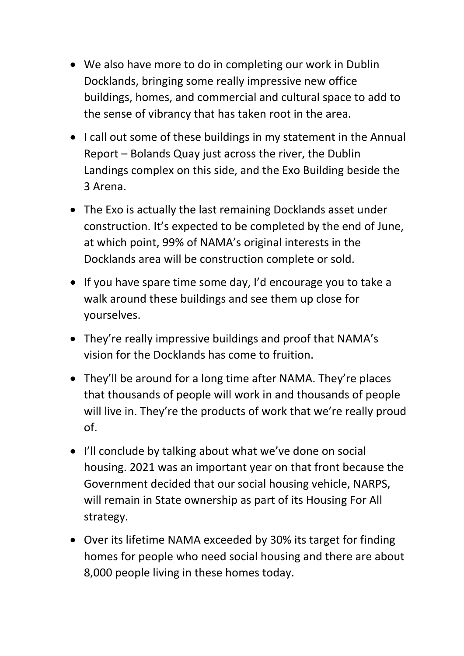- We also have more to do in completing our work in Dublin Docklands, bringing some really impressive new office buildings, homes, and commercial and cultural space to add to the sense of vibrancy that has taken root in the area.
- I call out some of these buildings in my statement in the Annual Report – Bolands Quay just across the river, the Dublin Landings complex on this side, and the Exo Building beside the 3 Arena.
- The Exo is actually the last remaining Docklands asset under construction. It's expected to be completed by the end of June, at which point, 99% of NAMA's original interests in the Docklands area will be construction complete or sold.
- If you have spare time some day, I'd encourage you to take a walk around these buildings and see them up close for yourselves.
- They're really impressive buildings and proof that NAMA's vision for the Docklands has come to fruition.
- They'll be around for a long time after NAMA. They're places that thousands of people will work in and thousands of people will live in. They're the products of work that we're really proud of.
- I'll conclude by talking about what we've done on social housing. 2021 was an important year on that front because the Government decided that our social housing vehicle, NARPS, will remain in State ownership as part of its Housing For All strategy.
- Over its lifetime NAMA exceeded by 30% its target for finding homes for people who need social housing and there are about 8,000 people living in these homes today.